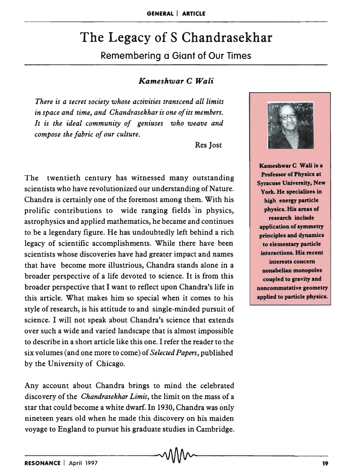## The Legacy of S Chandrasekhar

## Remembering a Giant of Our Times

## *Kameshwar* C *Wali*

*There is a secret society whose activities transcend all limits in space and time, and Chandrasekhar is one of its members. It is the ideal community of geniuses who weave and compose the fabric of our culture.* 

Res Jost

The twentieth century has witnessed many outstanding scientists who have revolutionized our understanding of Nature. Chandra is certainly one of the foremost among them. With his prolific contributions to wide ranging fields in physics, astrophysics and applied mathematics, he became and continues to be a legendary figure. He has undoubtedly left behind a rich legacy of scientific accomplishments. While there have been scientists whose discoveries have had greater impact and names that have become more illustrious, Chandra stands alone in a broader perspective of a life devoted to science. It is from this broader perspective that I want to reflect upon Chandra's life in this article. What makes him so special when it comes to his style of research, is his attitude to and single-minded pursuit of science. I will not speak about Chandra's science that extends over such a wide and varied landscape that is almost impossible to describe in a short article like this one. I refer the reader to the six volumes (and one more to come) of *Selected Papers,* published by the University of Chicago.

Any account about Chandra brings to mind the celebrated discovery of the *Chandrasekhar Limit,* the limit on the mass of a star that could become a white dwarf. In 1930, Chandra was only nineteen years old when he made this discovery on his maiden voyage to England to pursue his graduate studies in Cambridge.



Kameshwar C Wali is a Professor of Physics at Syracuse University, New York. He specializes in high energy particle physics. His areas of research include application of symmetry principles and dynamics to elementary particle interactions. His recent interests concem nonabelian monopoles coupled to gravity and noncommutative geometry applied to particle physics.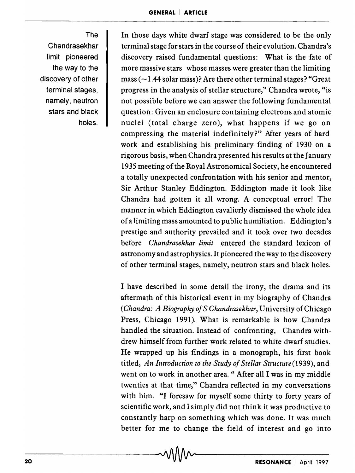The Chandrasekhar limit pioneered the way to the discovery of other terminal stages, namely, neutron stars and black holes. In those days white dwarf stage was considered to be the only terminal stage for stars in the course of their evolution. Chandra's discovery raised fundamental questions: What is the fate of more massive stars whose masses were greater than the limiting mass ( $\sim$ 1.44 solar mass)? Are there other terminal stages? "Great progress in the analysis of stellar structure," Chandra wrote, "is not possible before we can answer the following fundamental question: Given an enclosure containing electrons and atomic nuclei (total charge zero), what happens if we go on compressing the material indefinitely?" Mter years of hard work and establishing his preliminary finding of 1930 on a rigorous basis, when Chandra presented his results at the January 1935 meeting of the Royal Astronomical Society, he encountered a totally unexpected confrontation with his senior and mentor, Sir Arthur Stanley Eddington. Eddington made it look like Chandra had gotten it all wrong. A conceptual error! The manner in which Eddington cavalierly dismissed the whole idea of a limiting mass amounted to public humiliation. Eddington's prestige and authority prevailed and it took over two decades before *Chandrasekhar limit* entered the standard lexicon of astronomy and astrophysics. It pioneered the way to the discovery of other terminal stages, namely, neutron stars and black holes.

I have described in some detail the irony, the drama and its aftermath of this historical event in my biography of Chandra *(Chandra: A Biography of S Chandrasekhar, University of Chicago)* Press, Chicago 1991). What is remarkable is how Chandra handled the situation. Instead of confronting, Chandra withdrew himself from further work related to white dwarf studies. He wrapped up his findings in a monograph, his first book titled, *An Introduction to the Study of Stellar Structure* (1939), and went on to work in another area. " After all I was in my middle twenties at that time," Chandra reflected in my conversations with him. "I foresaw for myself some thirty to forty years of scientific work, and I simply did not think it was productive to constantly harp on something which was done. It was much better for me to change the field of interest and go into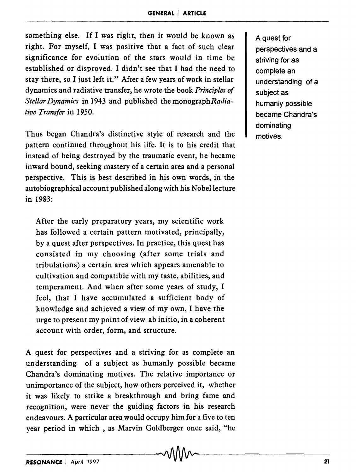something else. If I was right, then it would be known as right. For myself, I was positive that a fact of such clear significance for evolution of the stars would in time be established or disproved. I didn't see that I had the need to stay there, so I just left it." After a few years of work in stellar dynamics and radiative transfer, he wrote the book *Principles of Stellar Dynamics* in 1943 and published the *monographRadiative Transfer* in 1950.

Thus began Chandra's distinctive style of research and the pattern continued throughout his life. It is to his credit that instead of being destroyed by the traumatic event, he became inward bound, seeking mastery of a certain area and a personal perspective. This is best described in his own words, in the autobiographical account published along with his Nobel lecture in 1983:

After the early preparatory years, my scientific work has followed a certain pattern motivated, principally, by a quest after perspectives. In practice, this quest has consisted in my choosing (after some trials and tribulations) a certain area which appears amenable to cultivation and compatible with my taste, abilities, and temperament. And when after some years of study, I feel, that I have accumulated a sufficient body of knowledge and achieved a view of my own, I have the urge to present my point of view ab initio, in a coherent account with order, form, and structure.

A quest for perspectives and a striving for as complete an understanding of a subject as humanly possible became Chandra's dominating motives. The relative importance or unimportance of the subject, how others perceived it, whether it was likely to strike a breakthrough and bring fame and recognition, were never the guiding factors in his research endeavours. A particular area would occupy him for a five to ten year period in which , as Marvin Goldberger once said, "he A quest for perspectives and a striving for as complete an understanding of a subject as humanly possible became Chandra'S dominating motives.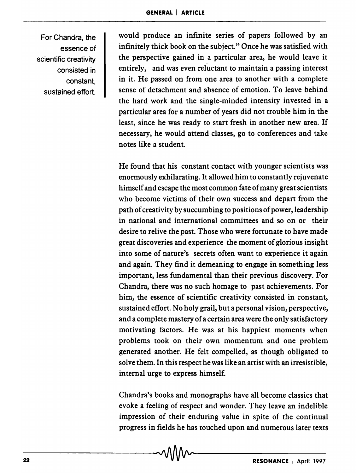For Chandra, the essence of scientific creativity consisted in constant, sustained effort.

would produce an infinite series of papers followed by an infinitely thick book on the subject." Once he was satisfied with the perspective gained in a particular area, he would leave it entirely, and was even reluctant to maintain a passing interest in it. He passed on from one area to another with a complete sense of detachment and absence of emotion. To leave behind the hard work and the single-minded intensity invested in a particular area for a number of years did not trouble him in the least, since he was ready to start fresh in another new area. If necessary, he would attend classes, go to conferences and take notes like a student.

He found that his constant contact with younger scientists was enormously exhilarating. It allowed him to constantly rejuvenate himself and escape the most common fate of many great scientists who become victims of their own success and depart from the path of creativity by succumbing to positions of power, leadership in national and international committees and so on or their desire to relive the past. Those who were fortunate to have made great discoveries and experience the moment of glorious insight into some of nature's secrets often want to experience it again and again. They find it demeaning to engage in something less important, less fundamental than their previous discovery. For Chandra, there was no such homage to past achievements. For him, the essence of scientific creativity consisted in constant, sustained effort. No holy grail, but a personal vision, perspective, and a complete mastery of a certain area were the only satisfactory motivating factors. He was at his happiest moments when problems took on their own momentum and one problem generated another. He felt compelled, as though obligated to solve them. In this respect he was like an artist with an irresistible, in ternal urge to express himself.

Chandra's books and monographs have all become classics that evoke a feeling of respect and wonder. They leave an indelible impression of their enduring value in spite of the continual progress in fields he has touched upon and numerous later texts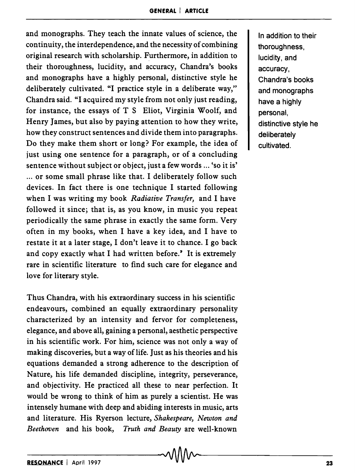and monographs. They teach the innate values of science, the continuity, the interdependence, and the necessity of combining original research with scholarship. Furthermore, in addition to their thoroughness, lucidity, and accuracy, Chandra's books and monographs have a highly personal, distinctive style he deliberately cultivated. "I practice style in a deliberate way," Chandra said. "I acquired my style from not only just reading, for instance, the essays of T S Eliot, Virginia Woolf, and Henry James, but also by paying attention to how they write, how they construct sentences and divide them into paragraphs. Do they make them short or long? For example, the idea of just using one sentence for a paragraph, or of a concluding sentence without subject or object, just a few words ... 'so it is' ... or some small phrase like that. I deliberately follow such devices. In fact there is one technique I started following when I was writing my book *Radiative Transfer,* and I have followed it since; that is, as you know, in music you repeat periodically the same phrase in exactly the same form. Very often in my books, when I have a key idea, and I have to restate it at a later stage, I don't leave it to chance. I go back and copy exactly what I had written before.' It is extremely rare in scientific literature to find such care for elegance and love for literary style.

Thus Chandra, with his extraordinary success in his scientific endeavours, combined an equally extraordinary personality characterized by an intensity and fervor for completeness, elegance, and above all, gaining a personal, aesthetic perspective in his scientific work. For him, science was not only a way of making discoveries, but a way of life. Just as his theories and his equations demanded a strong adherence to the description of Nature, his life demanded discipline, integrity, perseverance, and objectivity. He practiced all these to near perfection. It would be wrong to think of him as purely a scientist. He was intensely humane with deep and abiding interests in music, arts and literature. His Ryerson lecture, *Shakespeare, Newton and Beethoven* and his book, *Truth and Beauty* are well-known

In addition to their thoroughness, lucidity, and accuracy, Chandra's books and monographs have a highly personal, distinctive style he deliberately cultivated.